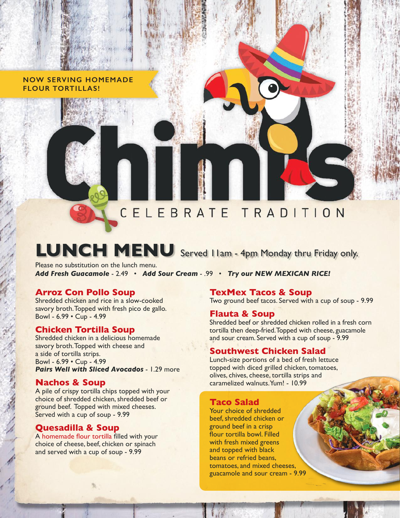**NOW SERVING HOMEMADE FLOUR TORTILLAS!**

# CELEBRATE TRADITION

# **LUNCH MENU** Served 11am - 4pm Monday thru Friday only.

Please no substitution on the lunch menu. *Add Fresh Guacamole* - 2.49 • *Add Sour Cream* - .99 • *Try our NEW MEXICAN RICE!*

#### **Arroz Con Pollo Soup**

Shredded chicken and rice in a slow-cooked savory broth. Topped with fresh pico de gallo. Bowl - 6.99 • Cup - 4.99

#### **Chicken Tortilla Soup**

Shredded chicken in a delicious homemade savory broth. Topped with cheese and a side of tortilla strips. Bowl - 6.99 • Cup - 4.99 *Pairs Well with Sliced Avocados* - 1.29 more

#### **Nachos & Soup**

A pile of crispy tortilla chips topped with your choice of shredded chicken, shredded beef or ground beef. Topped with mixed cheeses. Served with a cup of soup - 9.99

#### **Quesadilla & Soup**

A homemade flour tortilla filled with your choice of cheese, beef, chicken or spinach and served with a cup of soup - 9.99

#### **TexMex Tacos & Soup**

Two ground beef tacos. Served with a cup of soup - 9.99

#### **Flauta & Soup**

Shredded beef or shredded chicken rolled in a fresh corn tortilla then deep-fried. Topped with cheese, guacamole and sour cream. Served with a cup of soup - 9.99

#### **Southwest Chicken Salad**

Lunch-size portions of a bed of fresh lettuce topped with diced grilled chicken, tomatoes, olives, chives, cheese, tortilla strips and caramelized walnuts. Yum! - 10.99

#### **Taco Salad**

Your choice of shredded beef, shredded chicken or ground beef in a crisp flour tortilla bowl. Filled with fresh mixed greens and topped with black beans or refried beans, tomatoes, and mixed cheeses, guacamole and sour cream - 9.99